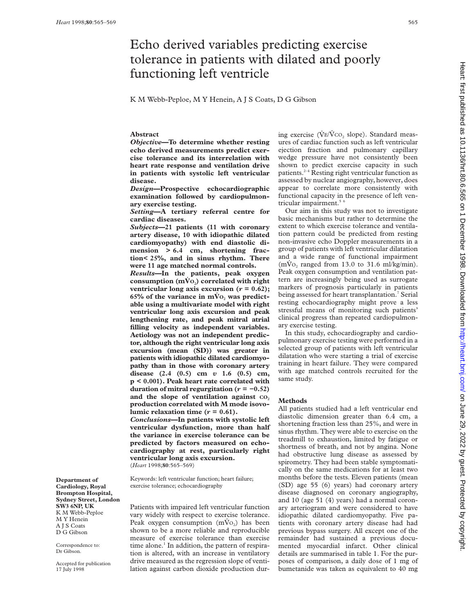# Echo derived variables predicting exercise tolerance in patients with dilated and poorly functioning left ventricle

K M Webb-Peploe, M Y Henein, A J S Coats, D G Gibson

## **Abstract**

*Objective***—To determine whether resting echo derived measurements predict exercise tolerance and its interrelation with heart rate response and ventilation drive in patients with systolic left ventricular disease.**

*Design***—Prospective echocardiographic examination followed by cardiopulmonary exercise testing.**

*Setting***—A tertiary referral centre for cardiac diseases.**

*Subjects***—21 patients (11 with coronary artery disease, 10 with idiopathic dilated cardiomyopathy) with end diastolic dimension > 6.4 cm, shortening fraction< 25%, and in sinus rhythm. There were 11 age matched normal controls.**

*Results***—In the patients, peak oxygen** consumption  $(m\dot{V}o_2)$  correlated with right **ventricular long axis excursion (** $r = 0.62$ **);**  $65%$  of the variance in  $m\dot{V}o$ , was predict**able using a multivariate model with right ventricular long axis excursion and peak lengthening rate, and peak mitral atrial filling velocity as independent variables. Aetiology was not an independent predictor, although the right ventricular long axis excursion (mean (SD)) was greater in patients with idiopathic dilated cardiomyopathy than in those with coronary artery disease (2.4 (0.5) cm** *v* **1.6 (0.5) cm, p < 0.001). Peak heart rate correlated with duration of mitral regurgitation (** $r = -0.52$ **)** and the slope of ventilation against  $\text{co}$ , **production correlated with M mode isovolumic relaxation time**  $(r = 0.61)$ **.** 

*Conclusions***—In patients with systolic left ventricular dysfunction, more than half the variance in exercise tolerance can be predicted by factors measured on echocardiography at rest, particularly right ventricular long axis excursion.** (*Heart* 1998;**80**:565–569)

Keywords: left ventricular function; heart failure; exercise tolerance; echocardiography

Patients with impaired left ventricular function vary widely with respect to exercise tolerance. Peak oxygen consumption  $(m\dot{V}o_2)$  has been shown to be a more reliable and reproducible measure of exercise tolerance than exercise time alone. $<sup>1</sup>$  In addition, the pattern of respira-</sup> tion is altered, with an increase in ventilatory drive measured as the regression slope of ventilation against carbon dioxide production dur-

ing exercise ( $\dot{V}E/\dot{V}CO$ , slope). Standard measures of cardiac function such as left ventricular ejection fraction and pulmonary capillary wedge pressure have not consistently been shown to predict exercise capacity in such patients.2–4 Resting right ventricular function as assessed by nuclear angiography, however, does appear to correlate more consistently with functional capacity in the presence of left ventricular impairment.<sup>5</sup>

Our aim in this study was not to investigate basic mechanisms but rather to determine the extent to which exercise tolerance and ventilation pattern could be predicted from resting non-invasive echo Doppler measurements in a group of patients with left ventricular dilatation and a wide range of functional impairment  $(m\dot{V}o_2$  ranged from 13.0 to 31.6 ml/kg/min). Peak oxygen consumption and ventilation pattern are increasingly being used as surrogate markers of prognosis particularly in patients being assessed for heart transplantation.<sup>7</sup> Serial resting echocardiography might prove a less stressful means of monitoring such patients' clinical progress than repeated cardiopulmonary exercise testing.

In this study, echocardiography and cardiopulmonary exercise testing were performed in a selected group of patients with left ventricular dilatation who were starting a trial of exercise training in heart failure. They were compared with age matched controls recruited for the same study.

## **Methods**

All patients studied had a left ventricular end diastolic dimension greater than 6.4 cm, a shortening fraction less than 25%, and were in sinus rhythm. They were able to exercise on the treadmill to exhaustion, limited by fatigue or shortness of breath, and not by angina. None had obstructive lung disease as assessed by spirometry. They had been stable symptomatically on the same medications for at least two months before the tests. Eleven patients (mean (SD) age 55 (6) years) had coronary artery disease diagnosed on coronary angiography, and 10 (age 51 (4) years) had a normal coronary arteriogram and were considered to have idiopathic dilated cardiomyopathy. Five patients with coronary artery disease had had previous bypass surgery. All except one of the remainder had sustained a previous documented myocardial infarct. Other clinical details are summarised in table 1. For the purposes of comparison, a daily dose of 1 mg of bumetanide was taken as equivalent to 40 mg

**Department of Cardiology, Royal Brompton Hospital, Sydney Street, London SW3 6NP, UK** K M Webb-Peploe M Y Henein A I S Coats D G Gibson

Correspondence to: Dr Gibson.

Accepted for publication 17 July 1998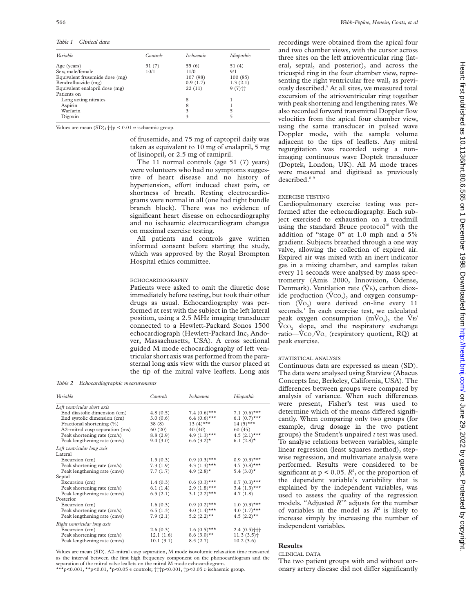*Table 1 Clinical data*

| Controls | <i>Ischaemic</i> | Idiopathic           |
|----------|------------------|----------------------|
| 51(7)    | 55(6)            | 51 (4)               |
| 10/1     | 11/0             | 9/1                  |
|          | 107 (98)         | 100(85)              |
|          | 0.9(1.7)         | 1.3(2.1)             |
|          | 22(11)           | $9(7)$ <sup>++</sup> |
|          |                  |                      |
|          | 8                |                      |
|          | 8                |                      |
|          | 3                | 5                    |
|          | 3                | 5                    |
|          |                  |                      |

Values are mean (SD); ††p < 0.01 *v* ischaemic group.

of frusemide, and 75 mg of captopril daily was taken as equivalent to 10 mg of enalapril, 5 mg of lisinopril, or 2.5 mg of ramipril.

The 11 normal controls (age 51 (7) years) were volunteers who had no symptoms suggestive of heart disease and no history of hypertension, effort induced chest pain, or shortness of breath. Resting electrocardiograms were normal in all (one had right bundle branch block). There was no evidence of significant heart disease on echocardiography and no ischaemic electrocardiogram changes on maximal exercise testing.

All patients and controls gave written informed consent before starting the study, which was approved by the Royal Brompton Hospital ethics committee.

#### ECHOCARDIOGRAPHY

Patients were asked to omit the diuretic dose immediately before testing, but took their other drugs as usual. Echocardiography was performed at rest with the subject in the left lateral position, using a 2.5 MHz imaging transducer connected to a Hewlett-Packard Sonos 1500 echocardiograph (Hewlett-Packard Inc, Andover, Massachusetts, USA). A cross sectional guided M mode echocardiography of left ventricular short axis was performed from the parasternal long axis view with the cursor placed at the tip of the mitral valve leaflets. Long axis

*Table 2 Echocardiographic measurements*

| Variable                       | Controls  | <i><u><b>Ischaemic</b></u></i> | Idiopathic               |
|--------------------------------|-----------|--------------------------------|--------------------------|
| Left ventricular short axis    |           |                                |                          |
| End diastolic dimension (cm)   | 4.8(0.5)  | 7.4 $(0.6)$ ***                | 7.1 $(0.6)$ ***          |
| End systolic dimension (cm)    | 3.0(0.6)  | $6.4(0.6)$ ***                 | $6.1(0.7)$ ***           |
| Fractional shortening (%)      | 38(8)     | 13 $(4)$ ***                   | $14(5)***$               |
| A2-mitral cusp separation (ms) | 60(20)    | 40(40)                         | 60(45)                   |
| Peak shortening rate (cm/s)    | 8.8(2.9)  | 4.9 $(1.3)$ ***                | $4.5(2.1)***$            |
| Peak lengthening rate (cm/s)   | 9.4(3.0)  | $6.6(3.2)$ *                   | $6.1(2.8)$ *             |
| Left ventricular long axis     |           |                                |                          |
| Lateral                        |           |                                |                          |
| Excursion (cm)                 | 1.5(0.3)  | $0.9(0.3)$ ***                 | $0.9(0.3)$ ***           |
| Peak shortening rate (cm/s)    | 7.3(1.9)  | 4.3 $(1.3)$ ***                | 4.7 $(0.8)$ ***          |
| Peak lengthening rate (cm/s)   | 7.7(1.7)  | 4.9 $(2.8)$ <sup>*</sup>       | $5.4(3.0)*$              |
| Septal                         |           |                                |                          |
| Excursion (cm)                 | 1.4(0.3)  | $0.6(0.3)$ ***                 | $0.7(0.3)$ ***           |
| Peak shortening rate (cm/s)    | 6.1(1.4)  | $2.9(1.8)$ ***                 | $3.4(1.3)***$            |
| Peak lengthening rate (cm/s)   | 6.5(2.1)  | 3.1 $(2.2)$ ***                | 4.7(1.8)                 |
| Posterior                      |           |                                |                          |
| Excursion (cm)                 | 1.6(0.3)  | $0.9(0.2)$ ***                 | $1.0(0.3)$ ***           |
| Peak shortening rate (cm/s)    | 6.5(1.3)  | $4.0(1.4)$ ***                 | $4.0(1.7)$ ***           |
| Peak lengthening rate (cm/s)   | 7.9(2.1)  | $5.2 (2.2)$ **                 | $4.5(2.2)$ **            |
| Right ventricular long axis    |           |                                |                          |
| Excursion (cm)                 | 2.6(0.3)  | $1.6(0.5)$ ***                 | 2.4(0.5)                 |
| Peak shortening rate (cm/s)    | 12.1(1.6) | $8.6(3.0)$ **                  | $11.3(3.5)$ <sup>+</sup> |
| Peak lengthening rate (cm/s)   | 10.1(3.1) | 8.5(2.7)                       | 10.2(3.6)                |

Values are mean (SD). A2–mitral cusp separation, M mode isovolumic relaxation time measured as the interval between the first high frequency component on the phonocardiogram and the separation of the mitral valve leaflets on the mitral M mode echocardiogram. \*\*\*p<0.001, \*\*p<0.01, \*p<0.05 *v* controls; †††p<0.001, †p<0.05 *v* ischaemic group.

recordings were obtained from the apical four and two chamber views, with the cursor across three sites on the left atrioventricular ring (lateral, septal, and posterior), and across the tricuspid ring in the four chamber view, representing the right ventricular free wall, as previously described.8 At all sites, we measured total excursion of the atrioventricular ring together with peak shortening and lengthening rates. We also recorded forward transmitral Doppler flow velocities from the apical four chamber view, using the same transducer in pulsed wave Doppler mode, with the sample volume adjacent to the tips of leaflets. Any mitral regurgitation was recorded using a nonimaging continuous wave Doptek transducer (Doptek, London, UK). All M mode traces were measured and digitised as previously described.<sup>8</sup>

## EXERCISE TESTING

Cardiopulmonary exercise testing was performed after the echocardiography. Each subject exercised to exhaustion on a treadmill using the standard Bruce protocol $10$  with the addition of "stage 0" at 1.0 mph and a 5% gradient. Subjects breathed through a one way valve, allowing the collection of expired air. Expired air was mixed with an inert indicator gas in a mixing chamber, and samples taken every 11 seconds were analysed by mass spectrometry (Amis 2000, Innovision, Odense, Denmark). Ventilation rate  $(V<sub>E</sub>)$ , carbon dioxide production  $(VCO<sub>2</sub>)$ , and oxygen consumption  $(\dot{V}o_2)$  were derived on-line every 11 seconds.<sup>1</sup> In each exercise test, we calculated peak oxygen consumption ( $\dot{m} \dot{V}_{O_2}$ ), the  $\dot{V}_{E}$ /  $\rm V_{CO_2}$  slope, and the respiratory exchange ratio— $\dot{V}CO_2/\dot{V}O_2$  (respiratory quotient, RQ) at peak exercise.

#### STATISTICAL ANALYSIS

Continuous data are expressed as mean (SD). The data were analysed using Statview (Abacus Concepts Inc, Berkeley, California, USA). The differences between groups were compared by analysis of variance. When such differences were present, Fisher's test was used to determine which of the means differed significantly. When comparing only two groups (for example, drug dosage in the two patient groups) the Student's unpaired *t* test was used. To analyse relations between variables, simple linear regression (least squares method), stepwise regression, and multivariate analysis were performed. Results were considered to be significant at  $p < 0.05$ .  $R^2$ , or the proportion of the dependent variable's variability that is explained by the independent variables, was used to assess the quality of the regression models. "Adjusted  $R^{2n}$  adjusts for the number of variables in the model as  $R^2$  is likely to increase simply by increasing the number of independent variables.

# **Results**

## CLINICAL DATA

The two patient groups with and without coronary artery disease did not differ significantly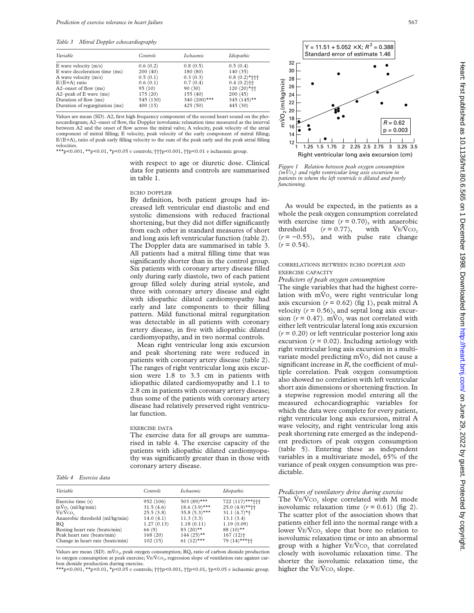*Table 3 Mitral Doppler echocardiography*

| Variable                       | <b>Controls</b> | <i><u><b>Ischaemic</b></u></i> | Idiopathic               |
|--------------------------------|-----------------|--------------------------------|--------------------------|
| E wave velocity $(m/s)$        | 0.6(0.2)        | 0.8(0.5)                       | 0.5(0.4)                 |
| E wave deceleration time (ms)  | 200(40)         | 180 (80)                       | 140 (35)                 |
| A wave velocity (m/s)          | 0.5(0.1)        | 0.3(0.3)                       | $0.8(0.2)$ *†††          |
| $E/(E+A)$ ratio                | 0.6(0.1)        | 0.7(0.4)                       | $0.4(0.2)$ <sup>++</sup> |
| A2-onset of flow (ms)          | 95(10)          | 90(30)                         | $120(20)*+$              |
| A2-peak of E wave (ms)         | 175 (20)        | 155 (40)                       | 200(45)                  |
| Duration of flow (ms)          | 545 (130)       | 340 $(200)$ ***                | 345 $(145)$ **           |
| Duration of regurgitation (ms) | 400(15)         | 425(50)                        | 445 (30)                 |

Values are mean (SD). A2, first high frequency component of the second heart sound on the phonocardiogram; A2–onset of flow, the Doppler isovolumic relaxation time measured as the interval between A2 and the onset of flow across the mitral valve; A velocity, peak velocity of the atrial component of mitral filling; E velocity, peak velocity of the early component of mitral filling; E/(E+A), ratio of peak early filling velocity to the sum of the peak early and the peak atrial filling velocities.

\*\*\*p<0.001, \*\*p<0.01, \*p<0.05 *v* controls; †††p<0.001, ††p<0.01 *v* ischaemic group.

with respect to age or diuretic dose. Clinical data for patients and controls are summarised in table 1.

## ECHO DOPPLER

By definition, both patient groups had increased left ventricular end diastolic and end systolic dimensions with reduced fractional shortening, but they did not differ significantly from each other in standard measures of short and long axis left ventricular function (table 2). The Doppler data are summarised in table 3. All patients had a mitral filling time that was significantly shorter than in the control group. Six patients with coronary artery disease filled only during early diastole, two of each patient group filled solely during atrial systole, and three with coronary artery disease and eight with idiopathic dilated cardiomyopathy had early and late components to their filling pattern. Mild functional mitral regurgitation was detectable in all patients with coronary artery disease, in five with idiopathic dilated cardiomyopathy, and in two normal controls.

Mean right ventricular long axis excursion and peak shortening rate were reduced in patients with coronary artery disease (table 2). The ranges of right ventricular long axis excursion were 1.8 to 3.3 cm in patients with idiopathic dilated cardiomyopathy and 1.1 to 2.8 cm in patients with coronary artery disease; thus some of the patients with coronary artery disease had relatively preserved right ventricular function.

#### EXERCISE DATA

The exercise data for all groups are summarised in table 4. The exercise capacity of the patients with idiopathic dilated cardiomyopathy was significantly greater than in those with coronary artery disease.

*Table 4 Exercise data*

| Variable                         | <b>Controls</b> | <i>Ischaemic</i>        | Idiopathic              |
|----------------------------------|-----------------|-------------------------|-------------------------|
| Exercise time (s)                | 952 (106)       | 503 (89)***             | 722 (117)***+++         |
| $mV_0$ , $(ml/kg/min)$           | 31.5(4.6)       | $18.6(3.9)$ ***         | $25.0(4.9)$ **††        |
| VE/VCO <sub>2</sub>              | 25.5(3.8)       | $35.8(5.3)$ ***         | $31.1 (4.7)$ *†         |
| Anaerobic threshold (ml/kg/min)  | 14.0(4.1)       | 11.3(3.3)               | 13.1(3.4)               |
| RO                               | 1.27(0.13)      | 1.18(0.11)              | 1.19(0.09)              |
| Resting heart rate (beats/min)   | 66 (9)          | 83 $(20)$ <sup>**</sup> | 88 $(10)$ <sup>**</sup> |
| Peak heart rate (beats/min)      | 168(20)         | $144(25)$ **            | $167(12)$ <sup>+</sup>  |
| Change in heart rate (beats/min) | 102(15)         | 61 $(12)$ ***           | $79(14)$ ***††          |
|                                  |                 |                         |                         |

Values are mean (SD).  $\dot{mV}$ <sub>2</sub>, peak oxygen consumption; RQ, ratio of carbon dioxide production to oxygen consumption at peak exercise;  $\dot{V}E/\dot{V}CO_2$ , regression slope of ventilation rate against carbon dioxide production during exercise.

\*\*\*p<0.001, \*\*p<0.01, \*p<0.05 *v* controls; †††p<0.001, ††p<0.01, †p<0.05 *v* ischaemic group.



*Figure 1 Relation between peak oxygen consumption (mV<sub>O</sub>)* and right ventricular long axis excursion in *patients in whom the left ventricle is dilated and poorly functioning.*

As would be expected, in the patients as a whole the peak oxygen consumption correlated with exercise time  $(r = 0.70)$ , with anaerobic threshold  $(r = 0.77)$ , with  $V_{E}/V_{CO_2}$  $(r = -0.55)$ , and with pulse rate change  $(r = 0.54)$ .

### CORRELATIONS BETWEEN ECHO DOPPLER AND EXERCISE CAPACITY

*Predictors of peak oxygen consumption*

The single variables that had the highest correlation with  $mV_0$  were right ventricular long axis excursion  $(r = 0.62)$  (fig 1), peak mitral A velocity  $(r = 0.56)$ , and septal long axis excursion  $(r = 0.47)$ . mV<sub>O<sub>2</sub></sub> was not correlated with either left ventricular lateral long axis excursion (*r* = 0.20) or left ventricular posterior long axis excursion  $(r = 0.02)$ . Including aetiology with right ventricular long axis excursion in a multivariate model predicting  $m\dot{V}o$ , did not cause a significant increase in *, the coefficient of mul*tiple correlation. Peak oxygen consumption also showed no correlation with left ventricular short axis dimensions or shortening fraction. In a stepwise regression model entering all the measured echocardiographic variables for which the data were complete for every patient, right ventricular long axis excursion, mitral A wave velocity, and right ventricular long axis peak shortening rate emerged as the independent predictors of peak oxygen consumption (table 5). Entering these as independent variables in a multivariate model, 65% of the variance of peak oxygen consumption was predictable.

#### *Predictors of ventilatory drive during exercise*

The  $\dot{V}E/\dot{V}CO_2$  slope correlated with M mode isovolumic relaxation time  $(r = 0.61)$  (fig 2). The scatter plot of the association shows that patients either fell into the normal range with a lower  $V_{E}/V_{CO}$ , slope that bore no relation to isovolumic relaxation time or into an abnormal group with a higher  $\dot{V}E/\dot{V}CO<sub>2</sub>$  that correlated closely with isovolumic relaxation time. The shorter the isovolumic relaxation time, the higher the  $\dot{V}E/\dot{V}CO_2$  slope.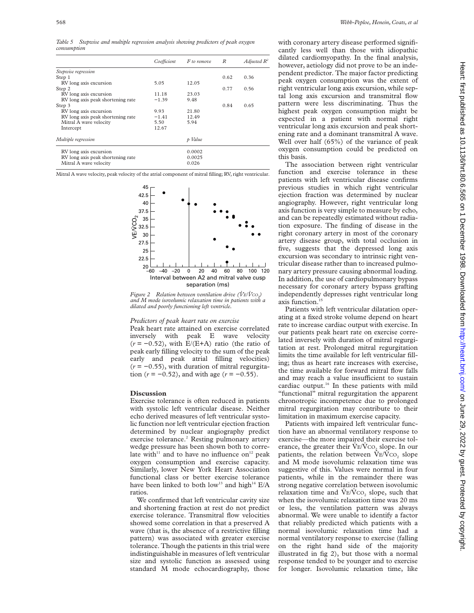*Table 5 Stepwise and multiple regression analysis showing predictors of peak oxygen consumption*

|                                   | Coefficient | F to remove | R    | Adjusted $R^2$ |
|-----------------------------------|-------------|-------------|------|----------------|
| Stepwise regression               |             |             |      |                |
| Step 1                            |             |             | 0.62 | 0.36           |
| RV long axis excursion            | 5.05        | 12.05       |      |                |
| Step 2                            |             |             | 0.77 | 0.56           |
| RV long axis excursion            | 11.18       | 23.03       |      |                |
| RV long axis peak shortening rate | $-1.39$     | 9.48        |      |                |
| Step 3                            |             |             | 0.84 | 0.65           |
| RV long axis excursion            | 9.93        | 21.80       |      |                |
| RV long axis peak shortening rate | $-1.41$     | 12.49       |      |                |
| Mitral A wave velocity            | 5.50        | 5.94        |      |                |
| Intercept                         | 12.67       |             |      |                |
| Multiple regression               |             | p Value     |      |                |
| RV long axis excursion            |             | 0.0002      |      |                |
| RV long axis peak shortening rate |             | 0.0025      |      |                |
| Mitral A wave velocity            |             | 0.026       |      |                |
|                                   |             |             |      |                |

Mitral A wave velocity, peak velocity of the atrial component of mitral filling; RV, right ventricular.



*Figure 2* Relation between ventilation drive ( $\dot{V}E/\dot{V}CO<sub>2</sub>$ ) *and M mode isovolumic relaxation time in patients with a dilated and poorly functioning left ventricle.*

#### *Predictors of peak heart rate on exercise*

Peak heart rate attained on exercise correlated inversely with peak E wave velocity (*r* = −0.52), with E/(E+A) ratio (the ratio of peak early filling velocity to the sum of the peak early and peak atrial filling velocities)  $(r = -0.55)$ , with duration of mitral regurgitation  $(r = -0.52)$ , and with age  $(r = -0.55)$ .

#### **Discussion**

Exercise tolerance is often reduced in patients with systolic left ventricular disease. Neither echo derived measures of left ventricular systolic function nor left ventricular ejection fraction determined by nuclear angiography predict exercise tolerance.<sup>2</sup> Resting pulmonary artery wedge pressure has been shown both to correlate with<sup>11</sup> and to have no influence on<sup>12</sup> peak oxygen consumption and exercise capacity. Similarly, lower New York Heart Association functional class or better exercise tolerance have been linked to both low<sup>13</sup> and high<sup>14</sup> E/A ratios.

We confirmed that left ventricular cavity size and shortening fraction at rest do not predict exercise tolerance. Transmitral flow velocities showed some correlation in that a preserved A wave (that is, the absence of a restrictive filling pattern) was associated with greater exercise tolerance. Though the patients in this trial were indistinguishable in measures of left ventricular size and systolic function as assessed using standard M mode echocardiography, those

with coronary artery disease performed significantly less well than those with idiopathic dilated cardiomyopathy. In the final analysis, however, aetiology did not prove to be an independent predictor. The major factor predicting peak oxygen consumption was the extent of right ventricular long axis excursion, while septal long axis excursion and transmitral flow pattern were less discriminating. Thus the highest peak oxygen consumption might be expected in a patient with normal right ventricular long axis excursion and peak shortening rate and a dominant transmitral A wave. Well over half (65%) of the variance of peak oxygen consumption could be predicted on this basis.

The association between right ventricular function and exercise tolerance in these patients with left ventricular disease confirms previous studies in which right ventricular ejection fraction was determined by nuclear angiography. However, right ventricular long axis function is very simple to measure by echo, and can be repeatedly estimated without radiation exposure. The finding of disease in the right coronary artery in most of the coronary artery disease group, with total occlusion in five, suggests that the depressed long axis excursion was secondary to intrinsic right ventricular disease rather than to increased pulmonary artery pressure causing abnormal loading. In addition, the use of cardiopulmonary bypass necessary for coronary artery bypass grafting independently depresses right ventricular long axis function.<sup>1</sup>

Patients with left ventricular dilatation operating at a fixed stroke volume depend on heart rate to increase cardiac output with exercise. In our patients peak heart rate on exercise correlated inversely with duration of mitral regurgitation at rest. Prolonged mitral regurgitation limits the time available for left ventricular filling; thus as heart rate increases with exercise, the time available for forward mitral flow falls and may reach a value insufficient to sustain cardiac output.<sup>16</sup> In these patients with mild "functional" mitral regurgitation the apparent chronotropic incompetence due to prolonged mitral regurgitation may contribute to their limitation in maximum exercise capacity.

Patients with impaired left ventricular function have an abnormal ventilatory response to exercise—the more impaired their exercise tolerance, the greater their  $V_{E}/V_{CO_2}$  slope. In our patients, the relation between  $V_{E}/V_{CO_2}$  slope and M mode isovolumic relaxation time was suggestive of this. Values were normal in four patients, while in the remainder there was strong negative correlation between isovolumic relaxation time and  $\dot{V}E/\dot{V}CO_2$  slope, such that when the isovolumic relaxation time was 20 ms or less, the ventilation pattern was always abnormal. We were unable to identify a factor that reliably predicted which patients with a normal isovolumic relaxation time had a normal ventilatory response to exercise (falling on the right hand side of the majority illustrated in fig 2), but those with a normal response tended to be younger and to exercise for longer. Isovolumic relaxation time, like